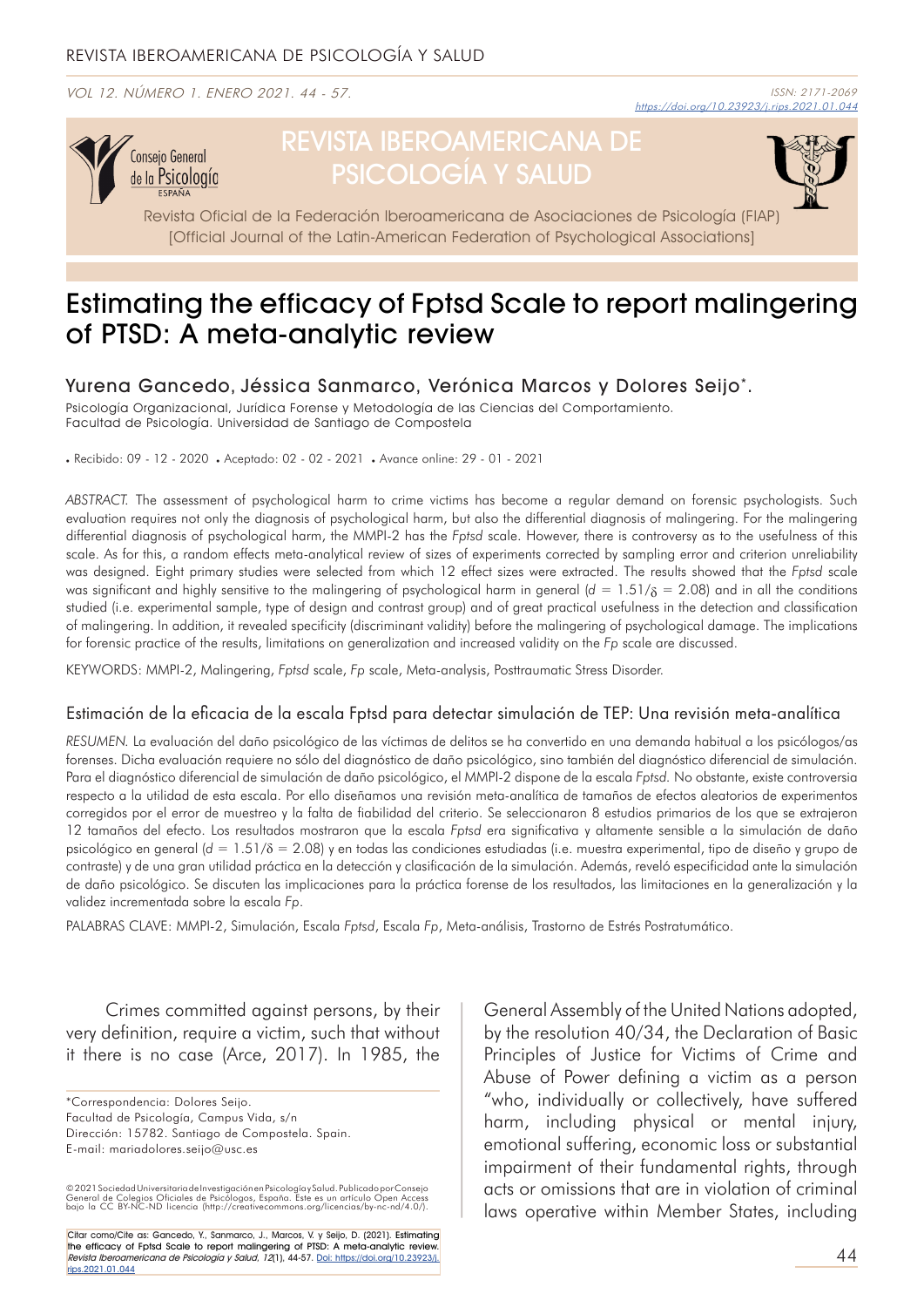VOL 12. NÚMERO 1. ENERO 2021. 44 - 57.



# REVISTA IBEROAMERICANA DE PSICOLOGÍA Y SALUD



Revista Oficial de la Federación Iberoamericana de Asociaciones de Psicología (FIAP) [Official Journal of the Latin-American Federation of Psychological Associations]

# Estimating the efficacy of Fptsd Scale to report malingering of PTSD: A meta-analytic review

Yurena Gancedo, Jéssica Sanmarco, Verónica Marcos y Dolores Seijo\* .

Psicología Organizacional, Jurídica Forense y Metodología de las Ciencias del Comportamiento. Facultad de Psicología. Universidad de Santiago de Compostela

. Recibido: 09 - 12 - 2020 . Aceptado: 02 - 02 - 2021 . Avance online: 29 - 01 - 2021

*ABSTRACT.* The assessment of psychological harm to crime victims has become a regular demand on forensic psychologists. Such evaluation requires not only the diagnosis of psychological harm, but also the differential diagnosis of malingering. For the malingering differential diagnosis of psychological harm, the MMPI-2 has the *Fptsd* scale. However, there is controversy as to the usefulness of this scale. As for this, a random effects meta-analytical review of sizes of experiments corrected by sampling error and criterion unreliability was designed. Eight primary studies were selected from which 12 effect sizes were extracted. The results showed that the *Fptsd* scale was significant and highly sensitive to the malingering of psychological harm in general ( $d = 1.51/\delta = 2.08$ ) and in all the conditions studied (i.e. experimental sample, type of design and contrast group) and of great practical usefulness in the detection and classification of malingering. In addition, it revealed specificity (discriminant validity) before the malingering of psychological damage. The implications for forensic practice of the results, limitations on generalization and increased validity on the *Fp* scale are discussed.

KEYWORDS: MMPI-2, Malingering, *Fptsd* scale, *Fp* scale, Meta-analysis, Posttraumatic Stress Disorder.

### Estimación de la eficacia de la escala Fptsd para detectar simulación de TEP: Una revisión meta-analítica

*RESUMEN.* La evaluación del daño psicológico de las víctimas de delitos se ha convertido en una demanda habitual a los psicólogos/as forenses. Dicha evaluación requiere no sólo del diagnóstico de daño psicológico, sino también del diagnóstico diferencial de simulación. Para el diagnóstico diferencial de simulación de daño psicológico, el MMPI-2 dispone de la escala *Fptsd.* No obstante, existe controversia respecto a la utilidad de esta escala. Por ello diseñamos una revisión meta-analítica de tamaños de efectos aleatorios de experimentos corregidos por el error de muestreo y la falta de fiabilidad del criterio. Se seleccionaron 8 estudios primarios de los que se extrajeron 12 tamaños del efecto. Los resultados mostraron que la escala *Fptsd* era significativa y altamente sensible a la simulación de daño psicológico en general (*d* = 1.51/δ = 2.08) y en todas las condiciones estudiadas (i.e. muestra experimental, tipo de diseño y grupo de contraste) y de una gran utilidad práctica en la detección y clasificación de la simulación. Además, reveló especificidad ante la simulación de daño psicológico. Se discuten las implicaciones para la práctica forense de los resultados, las limitaciones en la generalización y la validez incrementada sobre la escala *Fp*.

PALABRAS CLAVE: MMPI-2, Simulación, Escala *Fptsd*, Escala *Fp*, Meta-análisis, Trastorno de Estrés Postratumático.

Crimes committed against persons, by their very definition, require a victim, such that without it there is no case (Arce, 2017). In 1985, the

\*Correspondencia: Dolores Seijo. Facultad de Psicología, Campus Vida, s/n Dirección: 15782. Santiago de Compostela. Spain. E-mail: mariadolores.seijo@usc.es

© 2021 Sociedad Universitaria de Investigación en Psicología y Salud, Publicado por Consejo<br>General de Colegios Oficiales de Psicólogos, España. Este es un artículo Open Access<br>bajo la CC BY-NC-ND licencia (http://creative

Citar como/Cite as: Gancedo, Y., Sanmarco, J., Marcos, V. y Seijo, D. (2021). Estimating the efficacy of Fptsd Scale to report malingering of PTSD: A meta-analytic review. Revista Iberoamericana de Psicología y Salud, 12(1), 44-57. Doi: https://doi.org/10.23923/j. rips.2021.01.044

General Assembly of the United Nations adopted, by the resolution 40/34, the Declaration of Basic Principles of Justice for Victims of Crime and Abuse of Power defining a victim as a person "who, individually or collectively, have suffered harm, including physical or mental injury, emotional suffering, economic loss or substantial impairment of their fundamental rights, through acts or omissions that are in violation of criminal laws operative within Member States, including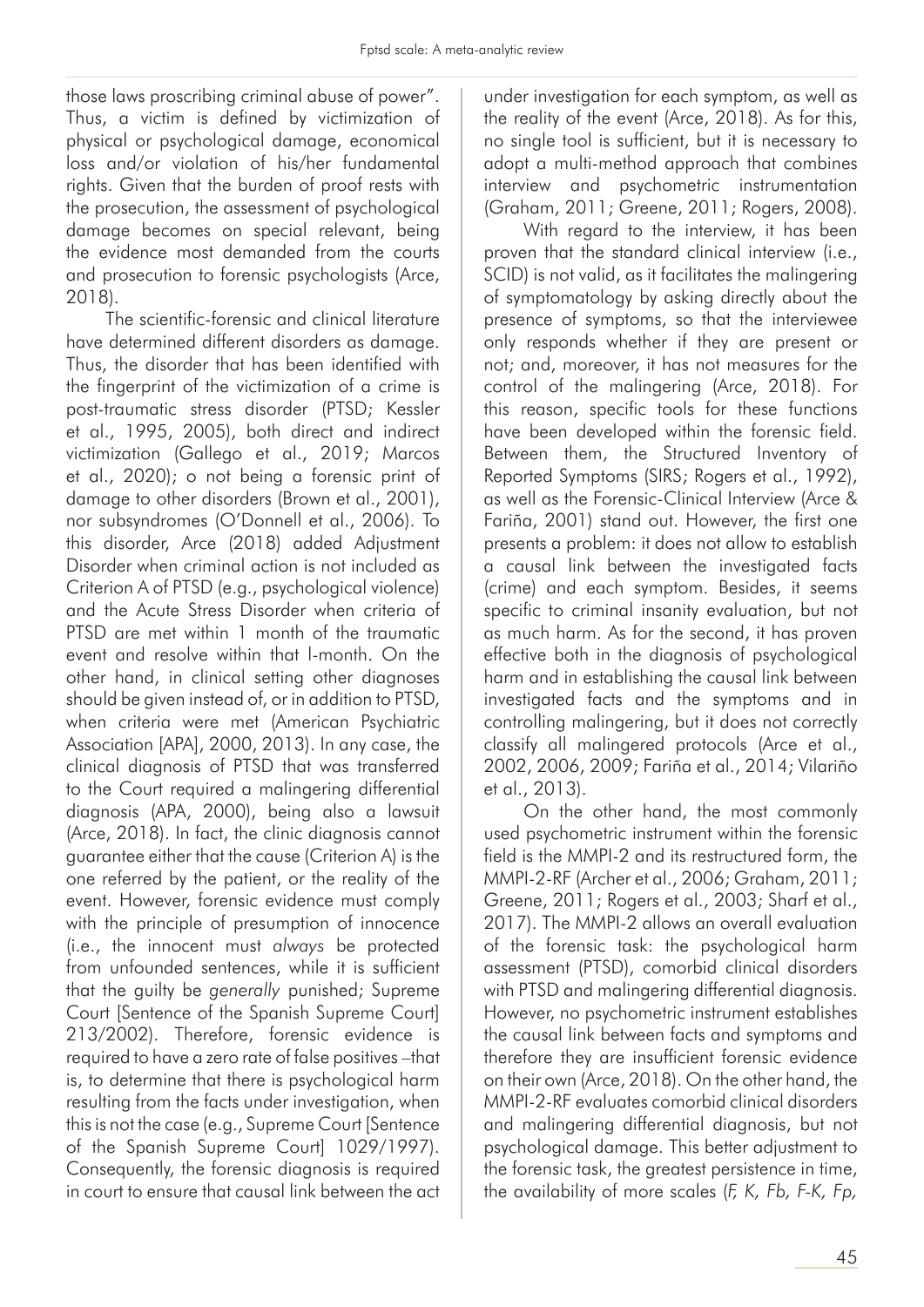those laws proscribing criminal abuse of power". Thus, a victim is defined by victimization of physical or psychological damage, economical loss and/or violation of his/her fundamental rights. Given that the burden of proof rests with the prosecution, the assessment of psychological damage becomes on special relevant, being the evidence most demanded from the courts and prosecution to forensic psychologists (Arce, 2018).

The scientific-forensic and clinical literature have determined different disorders as damage. Thus, the disorder that has been identified with the fingerprint of the victimization of a crime is post-traumatic stress disorder (PTSD; Kessler et al., 1995, 2005), both direct and indirect victimization (Gallego et al., 2019; Marcos et al., 2020); o not being a forensic print of damage to other disorders (Brown et al., 2001), nor subsyndromes (O'Donnell et al., 2006). To this disorder, Arce (2018) added Adjustment Disorder when criminal action is not included as Criterion A of PTSD (e.g., psychological violence) and the Acute Stress Disorder when criteria of PTSD are met within 1 month of the traumatic event and resolve within that l-month. On the other hand, in clinical setting other diagnoses should be given instead of, or in addition to PTSD, when criteria were met (American Psychiatric Association [APA], 2000, 2013). In any case, the clinical diagnosis of PTSD that was transferred to the Court required a malingering differential diagnosis (APA, 2000), being also a lawsuit (Arce, 2018). In fact, the clinic diagnosis cannot guarantee either that the cause (Criterion A) is the one referred by the patient, or the reality of the event. However, forensic evidence must comply with the principle of presumption of innocence (i.e., the innocent must *always* be protected from unfounded sentences, while it is sufficient that the guilty be *generally* punished; Supreme Court [Sentence of the Spanish Supreme Court] 213/2002). Therefore, forensic evidence is required to have a zero rate of false positives –that is, to determine that there is psychological harm resulting from the facts under investigation, when this is not the case (e.g., Supreme Court [Sentence of the Spanish Supreme Court] 1029/1997). Consequently, the forensic diagnosis is required in court to ensure that causal link between the act under investigation for each symptom, as well as the reality of the event (Arce, 2018). As for this, no single tool is sufficient, but it is necessary to adopt a multi-method approach that combines interview and psychometric instrumentation (Graham, 2011; Greene, 2011; Rogers, 2008).

With regard to the interview, it has been proven that the standard clinical interview (i.e., SCID) is not valid, as it facilitates the malingering of symptomatology by asking directly about the presence of symptoms, so that the interviewee only responds whether if they are present or not; and, moreover, it has not measures for the control of the malingering (Arce, 2018). For this reason, specific tools for these functions have been developed within the forensic field. Between them, the Structured Inventory of Reported Symptoms (SIRS; Rogers et al., 1992), as well as the Forensic-Clinical Interview (Arce & Fariña, 2001) stand out. However, the first one presents a problem: it does not allow to establish a causal link between the investigated facts (crime) and each symptom. Besides, it seems specific to criminal insanity evaluation, but not as much harm. As for the second, it has proven effective both in the diagnosis of psychological harm and in establishing the causal link between investigated facts and the symptoms and in controlling malingering, but it does not correctly classify all malingered protocols (Arce et al., 2002, 2006, 2009; Fariña et al., 2014; Vilariño et al., 2013).

On the other hand, the most commonly used psychometric instrument within the forensic field is the MMPI-2 and its restructured form, the MMPI-2-RF (Archer et al., 2006; Graham, 2011; Greene, 2011; Rogers et al., 2003; Sharf et al., 2017). The MMPI-2 allows an overall evaluation of the forensic task: the psychological harm assessment (PTSD), comorbid clinical disorders with PTSD and malingering differential diagnosis. However, no psychometric instrument establishes the causal link between facts and symptoms and therefore they are insufficient forensic evidence on their own (Arce, 2018). On the other hand, the MMPI-2-RF evaluates comorbid clinical disorders and malingering differential diagnosis, but not psychological damage. This better adjustment to the forensic task, the greatest persistence in time, the availability of more scales (*F, K, Fb, F-K, Fp,*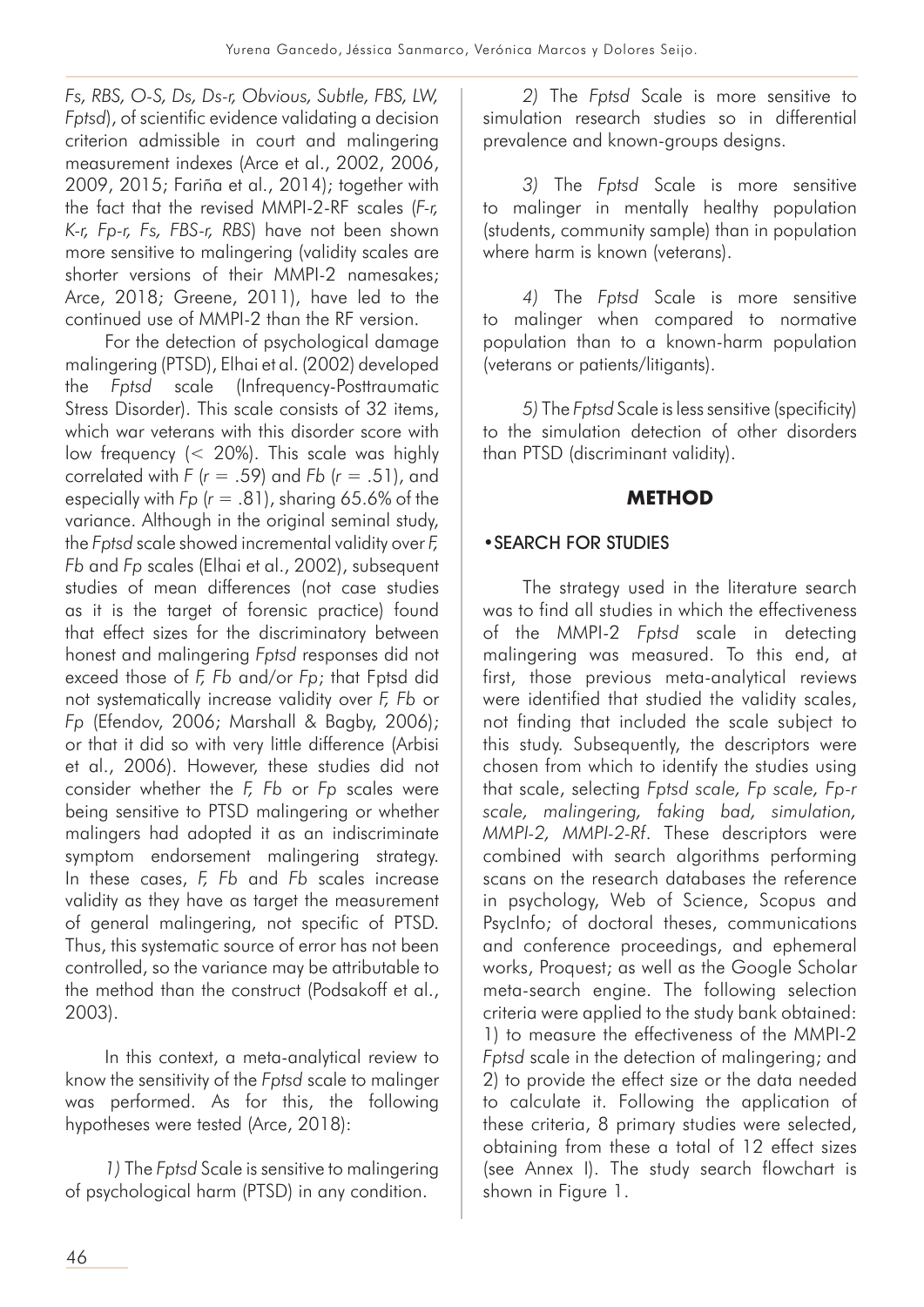*Fs, RBS, O-S, Ds, Ds-r, Obvious, Subtle, FBS, LW, Fptsd*), of scientific evidence validating a decision criterion admissible in court and malingering measurement indexes (Arce et al., 2002, 2006, 2009, 2015; Fariña et al., 2014); together with the fact that the revised MMPI-2-RF scales (*F-r, K-r, Fp-r, Fs, FBS-r, RBS*) have not been shown more sensitive to malingering (validity scales are shorter versions of their MMPI-2 namesakes; Arce, 2018; Greene, 2011), have led to the continued use of MMPI-2 than the RF version.

For the detection of psychological damage malingering (PTSD), Elhai et al. (2002) developed the *Fptsd* scale (Infrequency-Posttraumatic Stress Disorder). This scale consists of 32 items, which war veterans with this disorder score with low frequency (< 20%). This scale was highly correlated with *F* (*r* = .59) and *Fb* (*r* = .51), and especially with *Fp* (*r* = .81), sharing 65.6% of the variance. Although in the original seminal study, the *Fptsd* scale showed incremental validity over *F, Fb* and *Fp* scales (Elhai et al., 2002), subsequent studies of mean differences (not case studies as it is the target of forensic practice) found that effect sizes for the discriminatory between honest and malingering *Fptsd* responses did not exceed those of *F, Fb* and/or *Fp*; that Fptsd did not systematically increase validity over *F, Fb* or *Fp* (Efendov, 2006; Marshall & Bagby, 2006); or that it did so with very little difference (Arbisi et al., 2006). However, these studies did not consider whether the *F, Fb* or *Fp* scales were being sensitive to PTSD malingering or whether malingers had adopted it as an indiscriminate symptom endorsement malingering strategy. In these cases, *F, Fb* and *Fb* scales increase validity as they have as target the measurement of general malingering, not specific of PTSD. Thus, this systematic source of error has not been controlled, so the variance may be attributable to the method than the construct (Podsakoff et al., 2003).

In this context, a meta-analytical review to know the sensitivity of the *Fptsd* scale to malinger was performed. As for this, the following hypotheses were tested (Arce, 2018):

*1)* The *Fptsd* Scale is sensitive to malingering of psychological harm (PTSD) in any condition.

*2)* The *Fptsd* Scale is more sensitive to simulation research studies so in differential prevalence and known-groups designs.

*3)* The *Fptsd* Scale is more sensitive to malinger in mentally healthy population (students, community sample) than in population where harm is known (veterans).

*4)* The *Fptsd* Scale is more sensitive to malinger when compared to normative population than to a known-harm population (veterans or patients/litigants).

*5)* The *Fptsd* Scale is less sensitive (specificity) to the simulation detection of other disorders than PTSD (discriminant validity).

# **METHOD**

# •SEARCH FOR STUDIES

The strategy used in the literature search was to find all studies in which the effectiveness of the MMPI-2 *Fptsd* scale in detecting malingering was measured. To this end, at first, those previous meta-analytical reviews were identified that studied the validity scales, not finding that included the scale subject to this study. Subsequently, the descriptors were chosen from which to identify the studies using that scale, selecting *Fptsd scale, Fp scale, Fp-r scale, malingering, faking bad, simulation, MMPI-2, MMPI-2-Rf*. These descriptors were combined with search algorithms performing scans on the research databases the reference in psychology, Web of Science, Scopus and PsycInfo; of doctoral theses, communications and conference proceedings, and ephemeral works, Proquest; as well as the Google Scholar meta-search engine. The following selection criteria were applied to the study bank obtained: 1) to measure the effectiveness of the MMPI-2 *Fptsd* scale in the detection of malingering; and 2) to provide the effect size or the data needed to calculate it. Following the application of these criteria, 8 primary studies were selected, obtaining from these a total of 12 effect sizes (see Annex I). The study search flowchart is shown in Figure 1.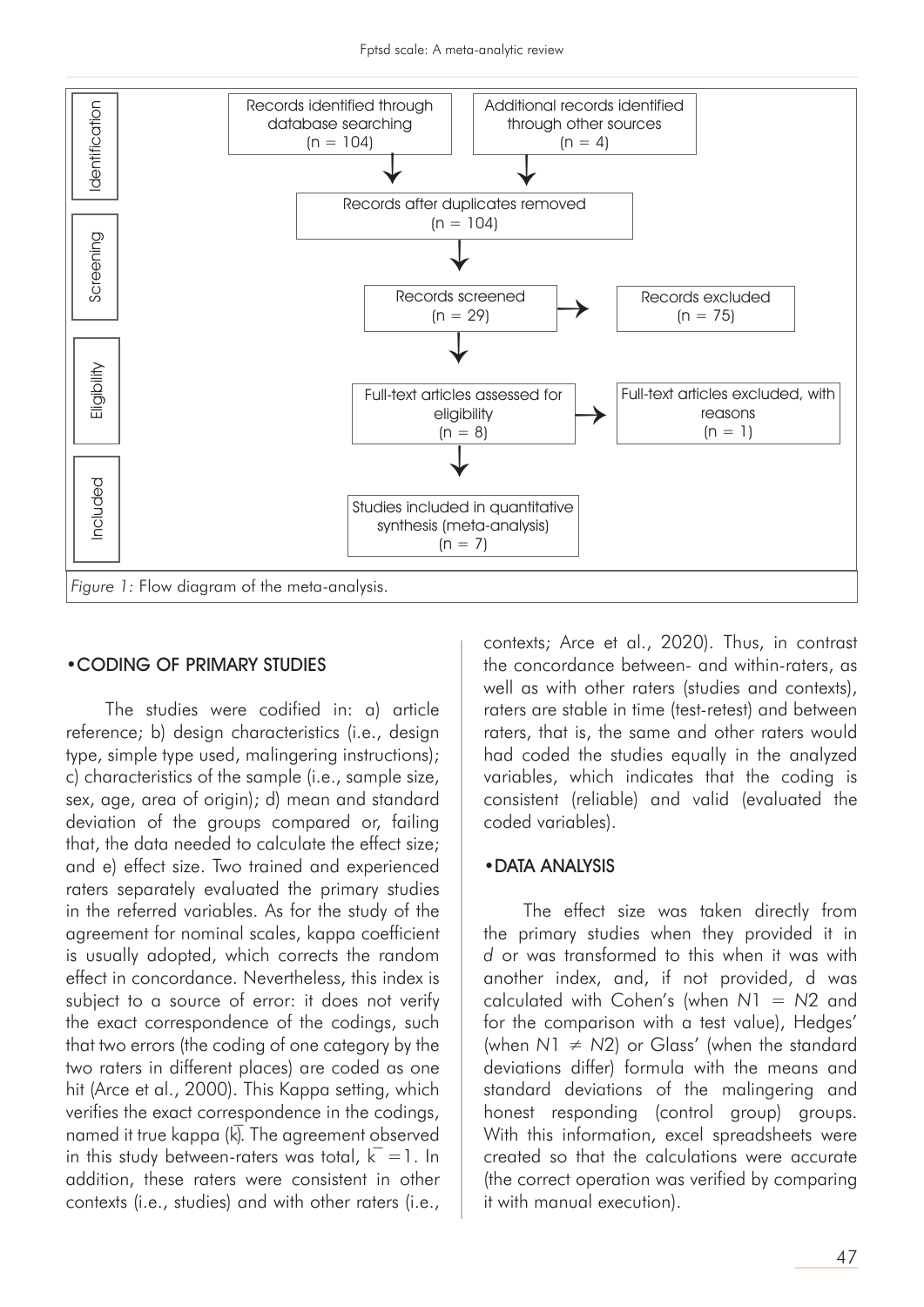

#### •CODING OF PRIMARY STUDIES

The studies were codified in: a) article reference; b) design characteristics (i.e., design type, simple type used, malingering instructions); c) characteristics of the sample (i.e., sample size, sex, age, area of origin); d) mean and standard deviation of the groups compared or, failing that, the data needed to calculate the effect size; and e) effect size. Two trained and experienced raters separately evaluated the primary studies in the referred variables. As for the study of the agreement for nominal scales, kappa coefficient is usually adopted, which corrects the random effect in concordance. Nevertheless, this index is subject to a source of error: it does not verify the exact correspondence of the codings, such that two errors (the coding of one category by the two raters in different places) are coded as one hit (Arce et al., 2000). This Kappa setting, which verifies the exact correspondence in the codings, named it true kappa  $(k)$ . The agreement observed in this study between-raters was total,  $k = 1$ . In addition, these raters were consistent in other contexts (i.e., studies) and with other raters (i.e.,

contexts; Arce et al., 2020). Thus, in contrast the concordance between- and within-raters, as well as with other raters (studies and contexts), raters are stable in time (test-retest) and between raters, that is, the same and other raters would had coded the studies equally in the analyzed variables, which indicates that the coding is consistent (reliable) and valid (evaluated the coded variables).

#### •DATA ANALYSIS

The effect size was taken directly from the primary studies when they provided it in *d* or was transformed to this when it was with another index, and, if not provided, d was calculated with Cohen's (when *N*1 = *N*2 and for the comparison with a test value), Hedges' (when *N*1 ≠ *N*2) or Glass' (when the standard deviations differ) formula with the means and standard deviations of the malingering and honest responding (control group) groups. With this information, excel spreadsheets were created so that the calculations were accurate (the correct operation was verified by comparing it with manual execution).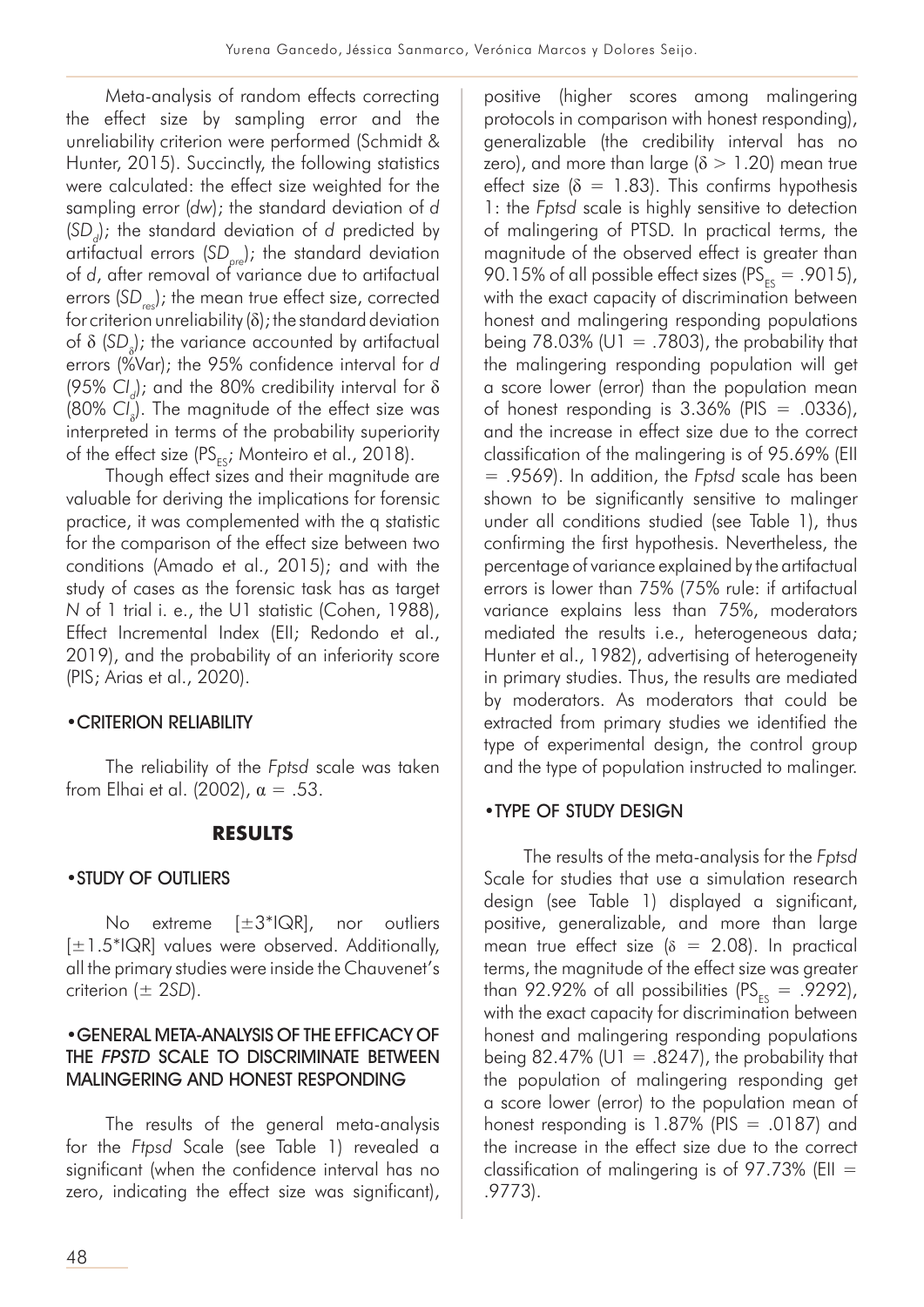Meta-analysis of random effects correcting the effect size by sampling error and the unreliability criterion were performed (Schmidt & Hunter, 2015). Succinctly, the following statistics were calculated: the effect size weighted for the sampling error (*dw*); the standard deviation of *d* (SD<sub>d</sub>); the standard deviation of *d* predicted by artifactual errors (*SD pre*); the standard deviation of *d*, after removal of variance due to artifactual errors (SD<sub>res</sub>); the mean true effect size, corrected for criterion unreliability (δ); the standard deviation of δ (SD<sub>δ</sub>); the variance accounted by artifactual errors (%Var); the 95% confidence interval for *d* (95% CI<sub>d</sub>); and the 80% credibility interval for δ (80% CI<sub>s</sub>). The magnitude of the effect size was interpreted in terms of the probability superiority of the effect size ( $PS_{FS}$ ; Monteiro et al., 2018).

Though effect sizes and their magnitude are valuable for deriving the implications for forensic practice, it was complemented with the q statistic for the comparison of the effect size between two conditions (Amado et al., 2015); and with the study of cases as the forensic task has as target *N* of 1 trial i. e., the U1 statistic (Cohen, 1988), Effect Incremental Index (EII; Redondo et al., 2019), and the probability of an inferiority score (PIS; Arias et al., 2020).

## •CRITERION RELIABILITY

The reliability of the *Fptsd* scale was taken from Elhai et al. (2002),  $\alpha = .53$ .

# **RESULTS**

## •STUDY OF OUTLIERS

No extreme [±3\*IQR], nor outliers  $[\pm 1.5^*IQR]$  values were observed. Additionally, all the primary studies were inside the Chauvenet's criterion (± 2*SD*).

## •GENERAL META-ANALYSIS OF THE EFFICACY OF THE FPSTD SCALE TO DISCRIMINATE BETWEEN MALINGERING AND HONEST RESPONDING

The results of the general meta-analysis for the *Ftpsd* Scale (see Table 1) revealed a significant (when the confidence interval has no zero, indicating the effect size was significant), positive (higher scores among malingering protocols in comparison with honest responding), generalizable (the credibility interval has no zero), and more than large ( $\delta > 1.20$ ) mean true effect size ( $\delta = 1.83$ ). This confirms hypothesis 1: the *Fptsd* scale is highly sensitive to detection of malingering of PTSD. In practical terms, the magnitude of the observed effect is greater than 90.15% of all possible effect sizes ( $PS_{FS} = .9015$ ), with the exact capacity of discrimination between honest and malingering responding populations being  $78.03\%$  (U1 = .7803), the probability that the malingering responding population will get a score lower (error) than the population mean of honest responding is  $3.36\%$  (PIS = .0336), and the increase in effect size due to the correct classification of the malingering is of 95.69% (EII = .9569). In addition, the *Fptsd* scale has been shown to be significantly sensitive to malinger under all conditions studied (see Table 1), thus confirming the first hypothesis. Nevertheless, the percentage of variance explained by the artifactual errors is lower than 75% (75% rule: if artifactual variance explains less than 75%, moderators mediated the results i.e., heterogeneous data; Hunter et al., 1982), advertising of heterogeneity in primary studies. Thus, the results are mediated by moderators. As moderators that could be extracted from primary studies we identified the type of experimental design, the control group and the type of population instructed to malinger.

## •TYPE OF STUDY DESIGN

The results of the meta-analysis for the *Fptsd* Scale for studies that use a simulation research design (see Table 1) displayed a significant, positive, generalizable, and more than large mean true effect size ( $\delta = 2.08$ ). In practical terms, the magnitude of the effect size was greater than 92.92% of all possibilities ( $PS_{ES} = .9292$ ), with the exact capacity for discrimination between honest and malingering responding populations being 82.47% (U1 = .8247), the probability that the population of malingering responding get a score lower (error) to the population mean of honest responding is  $1.87\%$  (PIS = .0187) and the increase in the effect size due to the correct classification of malingering is of  $97.73\%$  (EII = .9773).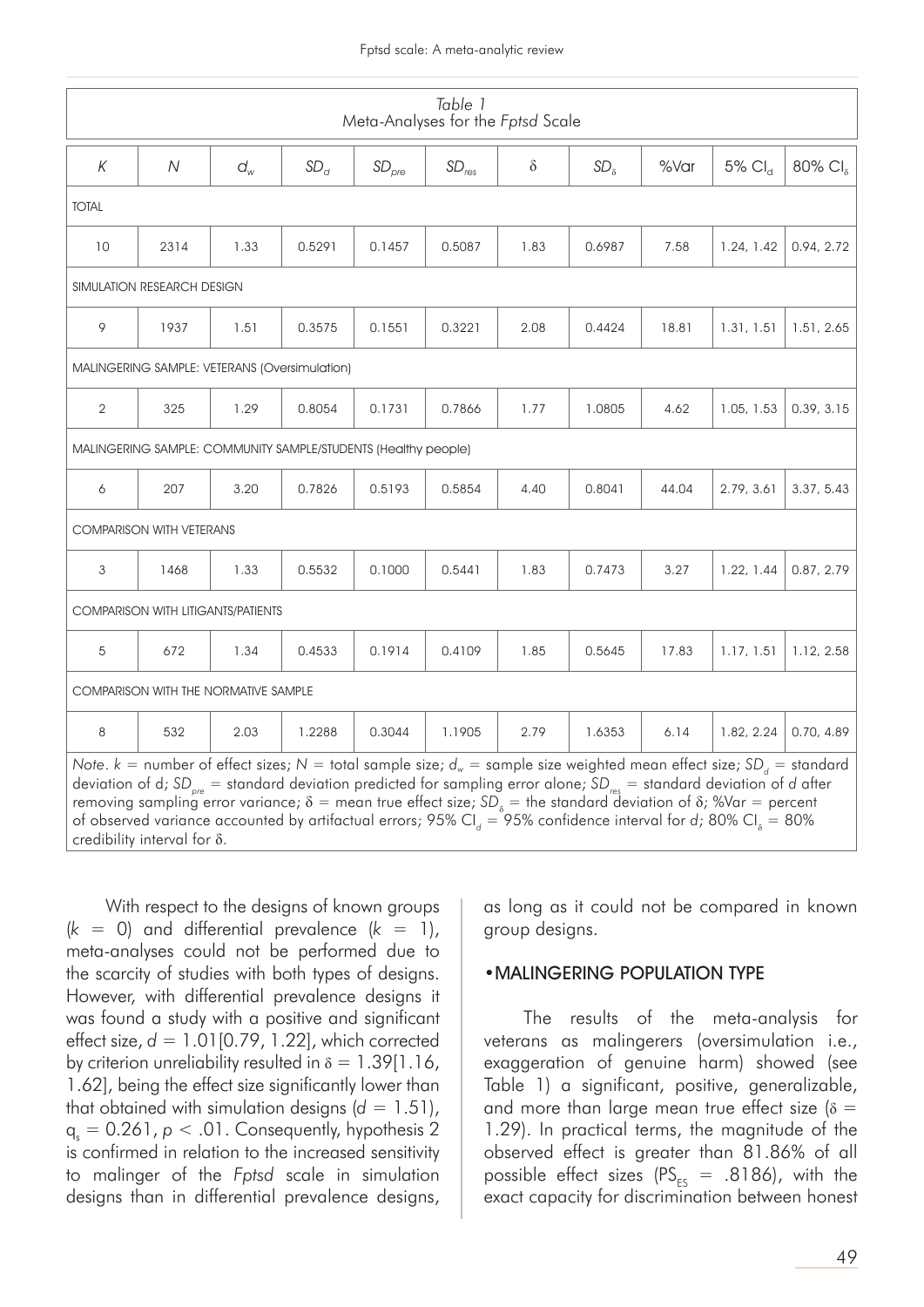| Table 1<br>Meta-Analyses for the Fptsd Scale                                                                                                                                                                                                                                                                                                                                                                                                                                                                                                                                                                                     |      |       |           |                   |            |          |                 |       |                       |                                          |  |  |  |
|----------------------------------------------------------------------------------------------------------------------------------------------------------------------------------------------------------------------------------------------------------------------------------------------------------------------------------------------------------------------------------------------------------------------------------------------------------------------------------------------------------------------------------------------------------------------------------------------------------------------------------|------|-------|-----------|-------------------|------------|----------|-----------------|-------|-----------------------|------------------------------------------|--|--|--|
| К                                                                                                                                                                                                                                                                                                                                                                                                                                                                                                                                                                                                                                | N    | $d_w$ | $SD_{cl}$ | SD <sub>pre</sub> | $SD_{res}$ | $\delta$ | SD <sub>8</sub> | %Var  | $5\%$ Cl <sub>d</sub> | $80\%$ Cl <sub><math>\delta</math></sub> |  |  |  |
| <b>TOTAL</b>                                                                                                                                                                                                                                                                                                                                                                                                                                                                                                                                                                                                                     |      |       |           |                   |            |          |                 |       |                       |                                          |  |  |  |
| 10                                                                                                                                                                                                                                                                                                                                                                                                                                                                                                                                                                                                                               | 2314 | 1.33  | 0.5291    | 0.1457            | 0.5087     | 1.83     | 0.6987          | 7.58  | 1.24, 1.42            | 0.94, 2.72                               |  |  |  |
| SIMULATION RESEARCH DESIGN                                                                                                                                                                                                                                                                                                                                                                                                                                                                                                                                                                                                       |      |       |           |                   |            |          |                 |       |                       |                                          |  |  |  |
| 9                                                                                                                                                                                                                                                                                                                                                                                                                                                                                                                                                                                                                                | 1937 | 1.51  | 0.3575    | 0.1551            | 0.3221     | 2.08     | 0.4424          | 18.81 | 1.31, 1.51            | 1.51, 2.65                               |  |  |  |
| MALINGERING SAMPLE: VETERANS (Oversimulation)                                                                                                                                                                                                                                                                                                                                                                                                                                                                                                                                                                                    |      |       |           |                   |            |          |                 |       |                       |                                          |  |  |  |
| 2                                                                                                                                                                                                                                                                                                                                                                                                                                                                                                                                                                                                                                | 325  | 1.29  | 0.8054    | 0.1731            | 0.7866     | 1.77     | 1.0805          | 4.62  | 1.05, 1.53            | 0.39, 3.15                               |  |  |  |
| MALINGERING SAMPLE: COMMUNITY SAMPLE/STUDENTS (Healthy people)                                                                                                                                                                                                                                                                                                                                                                                                                                                                                                                                                                   |      |       |           |                   |            |          |                 |       |                       |                                          |  |  |  |
| 6                                                                                                                                                                                                                                                                                                                                                                                                                                                                                                                                                                                                                                | 207  | 3.20  | 0.7826    | 0.5193            | 0.5854     | 4.40     | 0.8041          | 44.04 | 2.79, 3.61            | 3.37, 5.43                               |  |  |  |
| <b>COMPARISON WITH VETERANS</b>                                                                                                                                                                                                                                                                                                                                                                                                                                                                                                                                                                                                  |      |       |           |                   |            |          |                 |       |                       |                                          |  |  |  |
| 3                                                                                                                                                                                                                                                                                                                                                                                                                                                                                                                                                                                                                                | 1468 | 1.33  | 0.5532    | 0.1000            | 0.5441     | 1.83     | 0.7473          | 3.27  | 1.22, 1.44            | 0.87, 2.79                               |  |  |  |
| <b>COMPARISON WITH LITIGANTS/PATIENTS</b>                                                                                                                                                                                                                                                                                                                                                                                                                                                                                                                                                                                        |      |       |           |                   |            |          |                 |       |                       |                                          |  |  |  |
| 5                                                                                                                                                                                                                                                                                                                                                                                                                                                                                                                                                                                                                                | 672  | 1.34  | 0.4533    | 0.1914            | 0.4109     | 1.85     | 0.5645          | 17.83 | 1.17, 1.51            | 1.12, 2.58                               |  |  |  |
| <b>COMPARISON WITH THE NORMATIVE SAMPLE</b>                                                                                                                                                                                                                                                                                                                                                                                                                                                                                                                                                                                      |      |       |           |                   |            |          |                 |       |                       |                                          |  |  |  |
| 8                                                                                                                                                                                                                                                                                                                                                                                                                                                                                                                                                                                                                                | 532  | 2.03  | 1.2288    | 0.3044            | 1.1905     | 2.79     | 1.6353          | 6.14  | 1.82, 2.24            | 0.70, 4.89                               |  |  |  |
| Note. k = number of effect sizes; N = total sample size; $d_w$ = sample size weighted mean effect size; SD <sub>d</sub> = standard<br>deviation of d; SD <sub>pre</sub> = standard deviation predicted for sampling error alone; SD <sub>res</sub> = standard deviation of d after<br>removing sampling error variance; $\delta$ = mean true effect size; SD <sub><math>\delta</math></sub> = the standard deviation of $\delta$ ; %Var = percent<br>of observed variance accounted by artifactual errors; 95% Cl <sub>a</sub> = 95% confidence interval for d; 80% Cl <sub>s</sub> = 80%<br>credibility interval for $\delta$ . |      |       |           |                   |            |          |                 |       |                       |                                          |  |  |  |

With respect to the designs of known groups  $(k = 0)$  and differential prevalence  $(k = 1)$ , meta-analyses could not be performed due to the scarcity of studies with both types of designs. However, with differential prevalence designs it was found a study with a positive and significant effect size, *d* = 1.01[0.79, 1.22], which corrected by criterion unreliability resulted in  $\delta = 1.39[1.16]$ , 1.62], being the effect size significantly lower than that obtained with simulation designs  $(d = 1.51)$ ,  $q_s = 0.261$ ,  $p < .01$ . Consequently, hypothesis 2 is confirmed in relation to the increased sensitivity to malinger of the *Fptsd* scale in simulation designs than in differential prevalence designs,

as long as it could not be compared in known group designs.

#### •MALINGERING POPULATION TYPE

The results of the meta-analysis for veterans as malingerers (oversimulation i.e., exaggeration of genuine harm) showed (see Table 1) a significant, positive, generalizable, and more than large mean true effect size ( $\delta$  = 1.29). In practical terms, the magnitude of the observed effect is greater than 81.86% of all possible effect sizes ( $PS_{ES}$  = .8186), with the exact capacity for discrimination between honest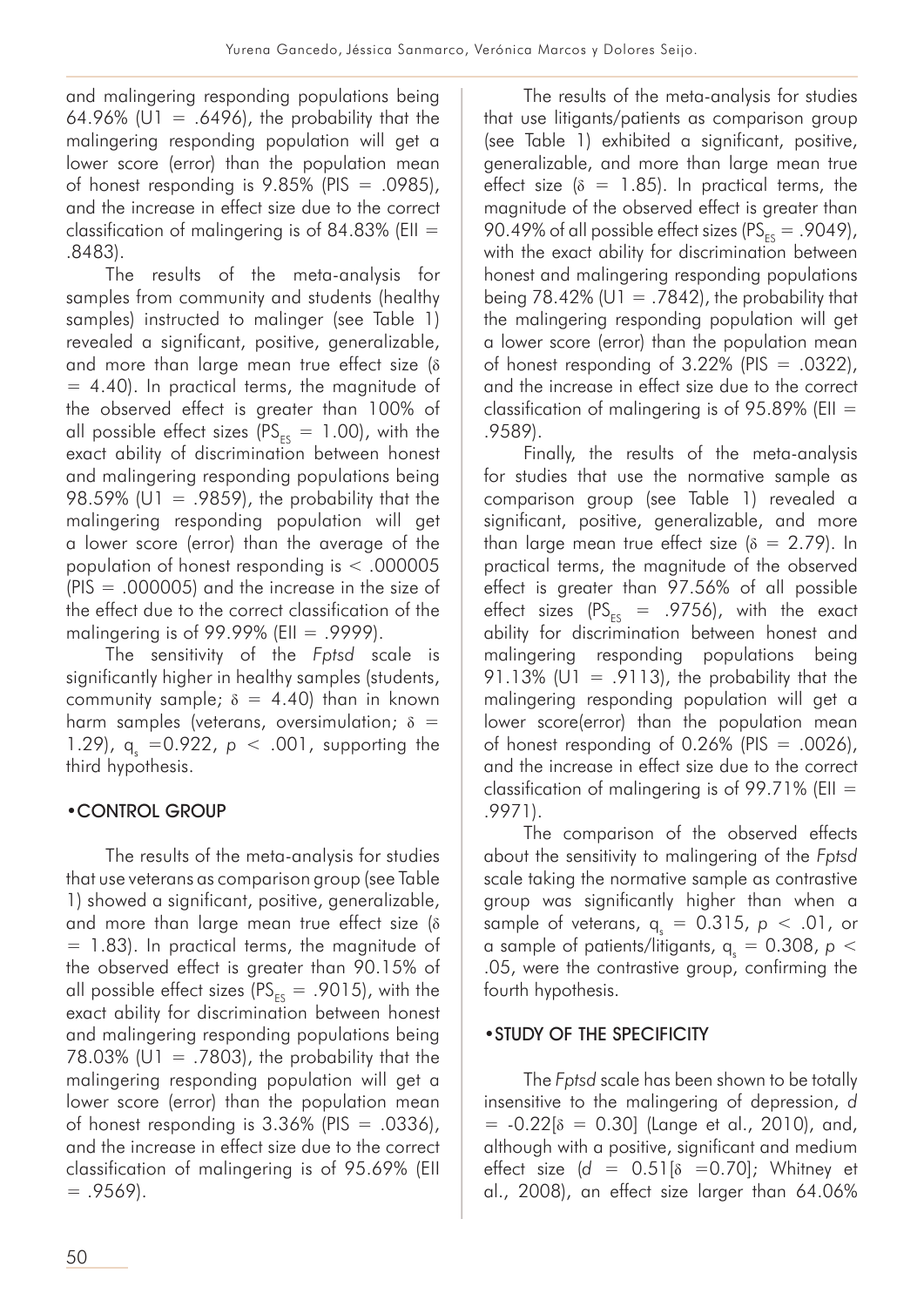and malingering responding populations being 64.96% (U1 = .6496), the probability that the malingering responding population will get a lower score (error) than the population mean of honest responding is  $9.85\%$  (PIS = .0985), and the increase in effect size due to the correct classification of malingering is of 84.83% (EII  $=$ .8483).

The results of the meta-analysis for samples from community and students (healthy samples) instructed to malinger (see Table 1) revealed a significant, positive, generalizable, and more than large mean true effect size (δ  $= 4.40$ ). In practical terms, the magnitude of the observed effect is greater than 100% of all possible effect sizes ( $PS_{FS} = 1.00$ ), with the exact ability of discrimination between honest and malingering responding populations being 98.59% (U1 = .9859), the probability that the malingering responding population will get a lower score (error) than the average of the population of honest responding is < .000005  $(PIS = .000005)$  and the increase in the size of the effect due to the correct classification of the malingering is of 99.99% (EII = .9999).

The sensitivity of the *Fptsd* scale is significantly higher in healthy samples (students, community sample;  $\delta = 4.40$ ) than in known harm samples (veterans, oversimulation;  $\delta$  = 1.29),  $q_s = 0.922$ ,  $p < .001$ , supporting the third hypothesis.

# •CONTROL GROUP

The results of the meta-analysis for studies that use veterans as comparison group (see Table 1) showed a significant, positive, generalizable, and more than large mean true effect size (δ = 1.83). In practical terms, the magnitude of the observed effect is greater than 90.15% of all possible effect sizes ( $PS_{FS} = .9015$ ), with the exact ability for discrimination between honest and malingering responding populations being 78.03% (U1 = .7803), the probability that the malingering responding population will get a lower score (error) than the population mean of honest responding is  $3.36\%$  (PIS = .0336), and the increase in effect size due to the correct classification of malingering is of 95.69% (EII  $= .9569$ ).

The results of the meta-analysis for studies that use litigants/patients as comparison group (see Table 1) exhibited a significant, positive, generalizable, and more than large mean true effect size ( $\delta = 1.85$ ). In practical terms, the magnitude of the observed effect is greater than 90.49% of all possible effect sizes ( $PS_{ES} = .9049$ ), with the exact ability for discrimination between honest and malingering responding populations being 78.42% ( $U1 = .7842$ ), the probability that the malingering responding population will get a lower score (error) than the population mean of honest responding of  $3.22\%$  (PIS = .0322), and the increase in effect size due to the correct classification of malingering is of 95.89% (EII  $=$ .9589).

Finally, the results of the meta-analysis for studies that use the normative sample as comparison group (see Table 1) revealed a significant, positive, generalizable, and more than large mean true effect size ( $\delta = 2.79$ ). In practical terms, the magnitude of the observed effect is greater than 97.56% of all possible effect sizes ( $PS_{ES}$  = .9756), with the exact ability for discrimination between honest and malingering responding populations being 91.13% (U1 = .9113), the probability that the malingering responding population will get a lower score(error) than the population mean of honest responding of  $0.26\%$  (PIS = .0026), and the increase in effect size due to the correct classification of malingering is of  $99.71\%$  (EII = .9971).

The comparison of the observed effects about the sensitivity to malingering of the *Fptsd* scale taking the normative sample as contrastive group was significantly higher than when a sample of veterans,  $q_s = 0.315$ ,  $p < .01$ , or a sample of patients/litigants,  $q_s = 0.308$ ,  $p <$ .05, were the contrastive group, confirming the fourth hypothesis.

# •STUDY OF THE SPECIFICITY

The *Fptsd* scale has been shown to be totally insensitive to the malingering of depression, *d*  $= -0.22$ [ $\delta = 0.30$ ] (Lange et al., 2010), and, although with a positive, significant and medium effect size  $(d = 0.51\text{ [8} = 0.70]$ ; Whitney et al., 2008), an effect size larger than 64.06%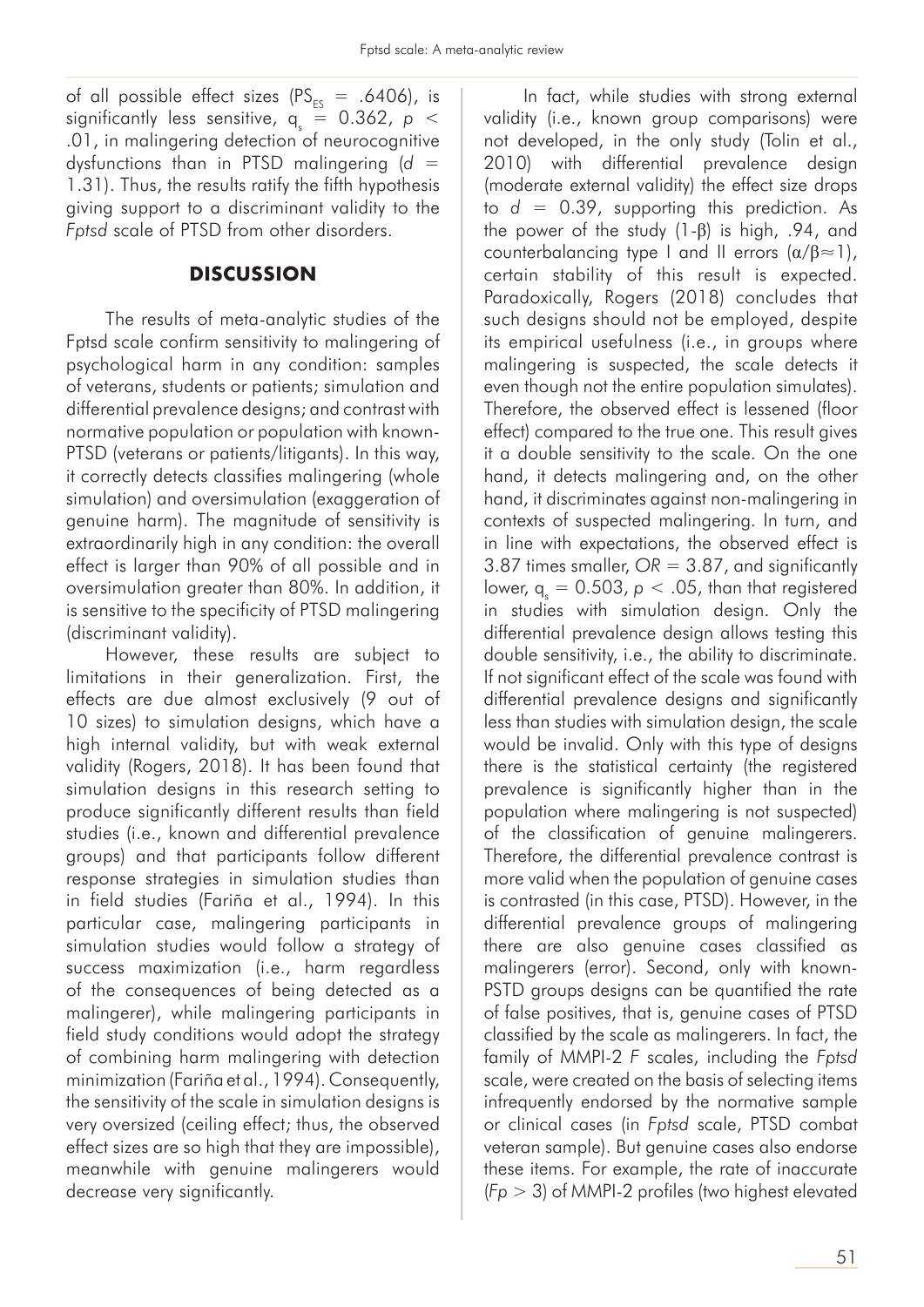of all possible effect sizes ( $PS_{FS} = .6406$ ), is significantly less sensitive,  $q_s = 0.362$ ,  $p <$ .01, in malingering detection of neurocognitive dysfunctions than in PTSD malingering (*d* = 1.31). Thus, the results ratify the fifth hypothesis giving support to a discriminant validity to the *Fptsd* scale of PTSD from other disorders.

### **DISCUSSION**

The results of meta-analytic studies of the Fptsd scale confirm sensitivity to malingering of psychological harm in any condition: samples of veterans, students or patients; simulation and differential prevalence designs; and contrast with normative population or population with known-PTSD (veterans or patients/litigants). In this way, it correctly detects classifies malingering (whole simulation) and oversimulation (exaggeration of genuine harm). The magnitude of sensitivity is extraordinarily high in any condition: the overall effect is larger than 90% of all possible and in oversimulation greater than 80%. In addition, it is sensitive to the specificity of PTSD malingering (discriminant validity).

However, these results are subject to limitations in their generalization. First, the effects are due almost exclusively (9 out of 10 sizes) to simulation designs, which have a high internal validity, but with weak external validity (Rogers, 2018). It has been found that simulation designs in this research setting to produce significantly different results than field studies (i.e., known and differential prevalence groups) and that participants follow different response strategies in simulation studies than in field studies (Fariña et al., 1994). In this particular case, malingering participants in simulation studies would follow a strategy of success maximization (i.e., harm regardless of the consequences of being detected as a malingerer), while malingering participants in field study conditions would adopt the strategy of combining harm malingering with detection minimization (Fariña et al., 1994). Consequently, the sensitivity of the scale in simulation designs is very oversized (ceiling effect; thus, the observed effect sizes are so high that they are impossible), meanwhile with genuine malingerers would decrease very significantly.

In fact, while studies with strong external validity (i.e., known group comparisons) were not developed, in the only study (Tolin et al., 2010) with differential prevalence design (moderate external validity) the effect size drops to  $d = 0.39$ , supporting this prediction. As the power of the study (1-β) is high, .94, and counterbalancing type I and II errors  $(\alpha/\beta \approx 1)$ , certain stability of this result is expected. Paradoxically, Rogers (2018) concludes that such designs should not be employed, despite its empirical usefulness (i.e., in groups where malingering is suspected, the scale detects it even though not the entire population simulates). Therefore, the observed effect is lessened (floor effect) compared to the true one. This result gives it a double sensitivity to the scale. On the one hand, it detects malingering and, on the other hand, it discriminates against non-malingering in contexts of suspected malingering. In turn, and in line with expectations, the observed effect is 3.87 times smaller, *OR* = 3.87, and significantly lower,  $q_s = 0.503$ ,  $p < .05$ , than that registered in studies with simulation design. Only the differential prevalence design allows testing this double sensitivity, i.e., the ability to discriminate. If not significant effect of the scale was found with differential prevalence designs and significantly less than studies with simulation design, the scale would be invalid. Only with this type of designs there is the statistical certainty (the registered prevalence is significantly higher than in the population where malingering is not suspected) of the classification of genuine malingerers. Therefore, the differential prevalence contrast is more valid when the population of genuine cases is contrasted (in this case, PTSD). However, in the differential prevalence groups of malingering there are also genuine cases classified as malingerers (error). Second, only with known-PSTD groups designs can be quantified the rate of false positives, that is, genuine cases of PTSD classified by the scale as malingerers. In fact, the family of MMPI-2 *F* scales, including the *Fptsd* scale, were created on the basis of selecting items infrequently endorsed by the normative sample or clinical cases (in *Fptsd* scale, PTSD combat veteran sample). But genuine cases also endorse these items. For example, the rate of inaccurate (*Fp* > 3) of MMPI-2 profiles (two highest elevated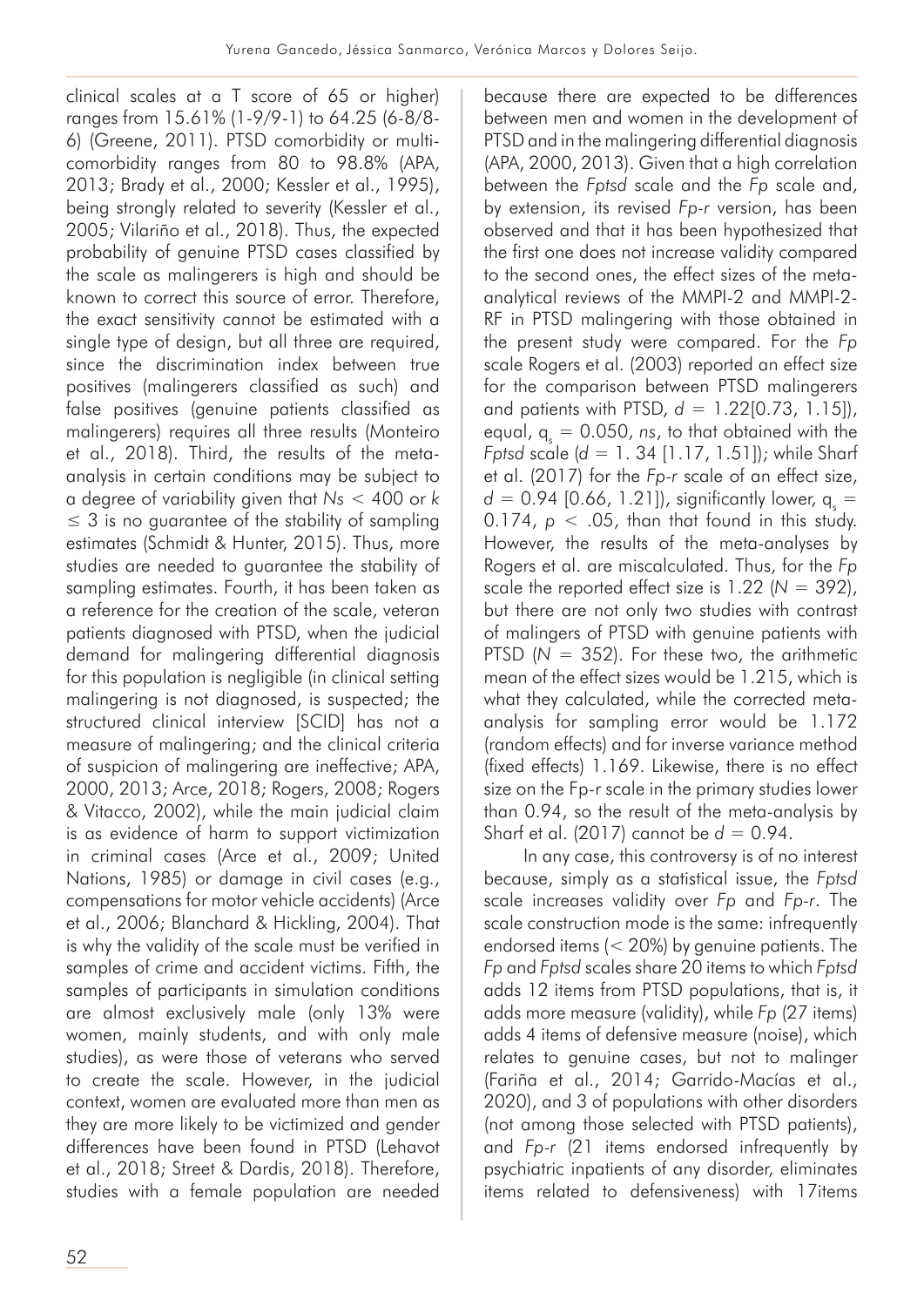clinical scales at a T score of 65 or higher) ranges from 15.61% (1-9/9-1) to 64.25 (6-8/8- 6) (Greene, 2011). PTSD comorbidity or multicomorbidity ranges from 80 to 98.8% (APA, 2013; Brady et al., 2000; Kessler et al., 1995), being strongly related to severity (Kessler et al., 2005; Vilariño et al., 2018). Thus, the expected probability of genuine PTSD cases classified by the scale as malingerers is high and should be known to correct this source of error. Therefore, the exact sensitivity cannot be estimated with a single type of design, but all three are required, since the discrimination index between true positives (malingerers classified as such) and false positives (genuine patients classified as malingerers) requires all three results (Monteiro et al., 2018). Third, the results of the metaanalysis in certain conditions may be subject to a degree of variability given that *Ns* < 400 or *k*   $\leq$  3 is no quarantee of the stability of sampling estimates (Schmidt & Hunter, 2015). Thus, more studies are needed to guarantee the stability of sampling estimates. Fourth, it has been taken as a reference for the creation of the scale, veteran patients diagnosed with PTSD, when the judicial demand for malingering differential diagnosis for this population is negligible (in clinical setting malingering is not diagnosed, is suspected; the structured clinical interview [SCID] has not a measure of malingering; and the clinical criteria of suspicion of malingering are ineffective; APA, 2000, 2013; Arce, 2018; Rogers, 2008; Rogers & Vitacco, 2002), while the main judicial claim is as evidence of harm to support victimization in criminal cases (Arce et al., 2009; United Nations, 1985) or damage in civil cases (e.g., compensations for motor vehicle accidents) (Arce et al., 2006; Blanchard & Hickling, 2004). That is why the validity of the scale must be verified in samples of crime and accident victims. Fifth, the samples of participants in simulation conditions are almost exclusively male (only 13% were women, mainly students, and with only male studies), as were those of veterans who served to create the scale. However, in the judicial context, women are evaluated more than men as they are more likely to be victimized and gender differences have been found in PTSD (Lehavot et al., 2018; Street & Dardis, 2018). Therefore, studies with a female population are needed

because there are expected to be differences between men and women in the development of PTSD and in the malingering differential diagnosis (APA, 2000, 2013). Given that a high correlation between the *Fptsd* scale and the *Fp* scale and, by extension, its revised *Fp-r* version, has been observed and that it has been hypothesized that the first one does not increase validity compared to the second ones, the effect sizes of the metaanalytical reviews of the MMPI-2 and MMPI-2- RF in PTSD malingering with those obtained in the present study were compared. For the *Fp* scale Rogers et al. (2003) reported an effect size for the comparison between PTSD malingerers and patients with PTSD, *d* = 1.22[0.73, 1.15]), equal,  $q_s = 0.050$ , *ns*, to that obtained with the *Fptsd* scale (*d* = 1. 34 [1.17, 1.51]); while Sharf et al. (2017) for the *Fp-r* scale of an effect size,  $d = 0.94$  [0.66, 1.21]), significantly lower,  $q_s =$  $0.174$ ,  $p < .05$ , than that found in this study. However, the results of the meta-analyses by Rogers et al. are miscalculated. Thus, for the *Fp* scale the reported effect size is 1.22 (*N* = 392), but there are not only two studies with contrast of malingers of PTSD with genuine patients with PTSD  $(N = 352)$ . For these two, the arithmetic mean of the effect sizes would be 1.215, which is what they calculated, while the corrected metaanalysis for sampling error would be 1.172 (random effects) and for inverse variance method (fixed effects) 1.169. Likewise, there is no effect size on the Fp-r scale in the primary studies lower than 0.94, so the result of the meta-analysis by Sharf et al. (2017) cannot be *d* = 0.94.

In any case, this controversy is of no interest because, simply as a statistical issue, the *Fptsd*  scale increases validity over *Fp* and *Fp-r*. The scale construction mode is the same: infrequently endorsed items (< 20%) by genuine patients. The *Fp* and *Fptsd* scales share 20 items to which *Fptsd* adds 12 items from PTSD populations, that is, it adds more measure (validity), while *Fp* (27 items) adds 4 items of defensive measure (noise), which relates to genuine cases, but not to malinger (Fariña et al., 2014; Garrido-Macías et al., 2020), and 3 of populations with other disorders (not among those selected with PTSD patients), and *Fp-r* (21 items endorsed infrequently by psychiatric inpatients of any disorder, eliminates items related to defensiveness) with 17items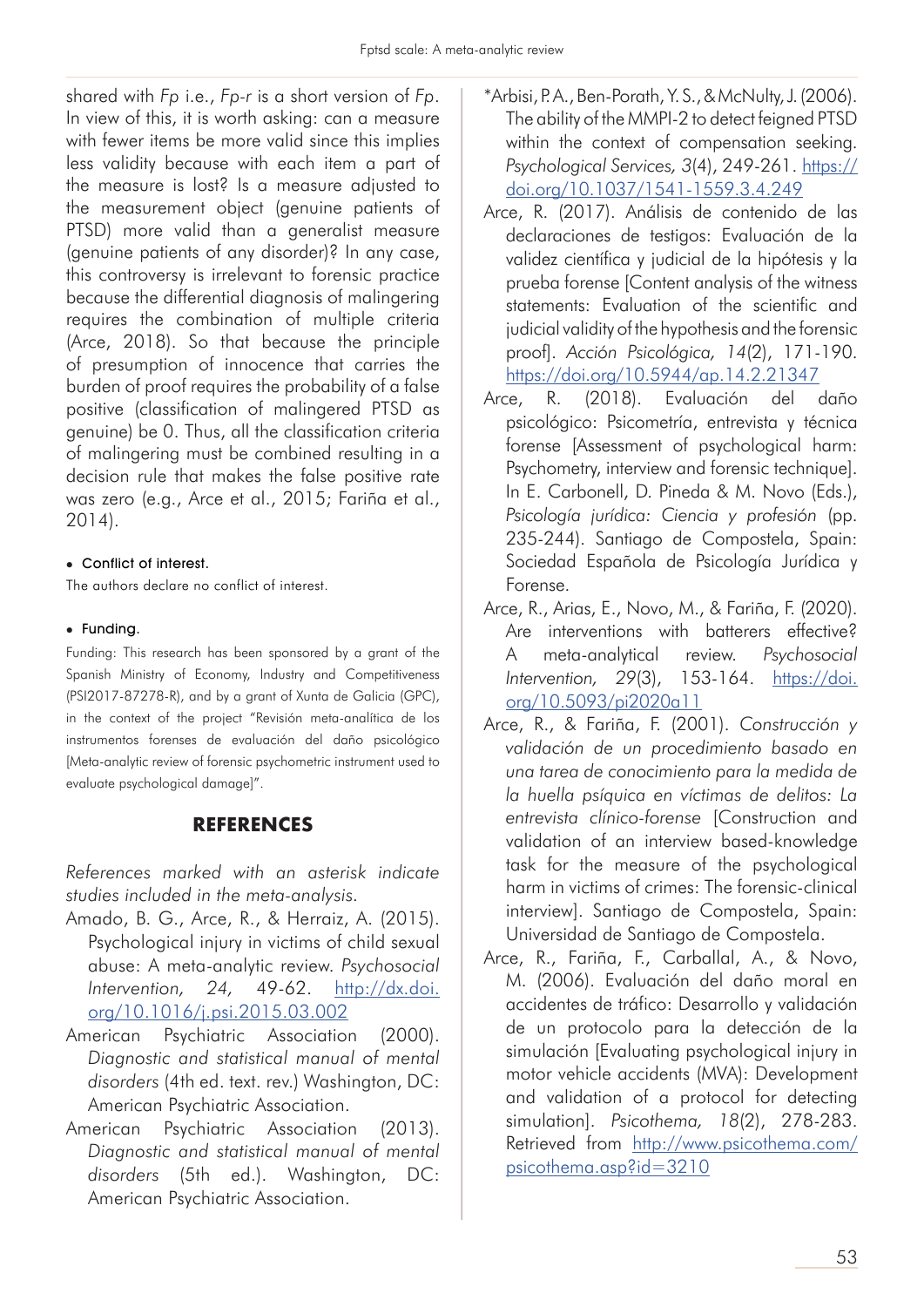shared with *Fp* i.e., *Fp-r* is a short version of *Fp*. In view of this, it is worth asking: can a measure with fewer items be more valid since this implies less validity because with each item a part of the measure is lost? Is a measure adjusted to the measurement object (genuine patients of PTSD) more valid than a generalist measure (genuine patients of any disorder)? In any case, this controversy is irrelevant to forensic practice because the differential diagnosis of malingering requires the combination of multiple criteria (Arce, 2018). So that because the principle of presumption of innocence that carries the burden of proof requires the probability of a false positive (classification of malingered PTSD as genuine) be 0. Thus, all the classification criteria of malingering must be combined resulting in a decision rule that makes the false positive rate was zero (e.g., Arce et al., 2015; Fariña et al., 2014).

### • Conflict of interest.

The authors declare no conflict of interest.

### $\bullet$  Funding.

Funding: This research has been sponsored by a grant of the Spanish Ministry of Economy, Industry and Competitiveness (PSI2017-87278-R), and by a grant of Xunta de Galicia (GPC), in the context of the project "Revisión meta-analítica de los instrumentos forenses de evaluación del daño psicológico [Meta-analytic review of forensic psychometric instrument used to evaluate psychological damage]".

## **REFERENCES**

*References marked with an asterisk indicate studies included in the meta-analysis.*

- Amado, B. G., Arce, R., & Herraiz, A. (2015). Psychological injury in victims of child sexual abuse: A meta-analytic review. *Psychosocial Intervention, 24,* 49-62. http://dx.doi. org/10.1016/j.psi.2015.03.002
- American Psychiatric Association (2000). *Diagnostic and statistical manual of mental disorders* (4th ed. text. rev.) Washington, DC: American Psychiatric Association.
- American Psychiatric Association (2013). *Diagnostic and statistical manual of mental disorders* (5th ed.). Washington, DC: American Psychiatric Association.
- \*Arbisi, P. A., Ben-Porath, Y. S., & McNulty, J. (2006). The ability of the MMPI-2 to detect feigned PTSD within the context of compensation seeking. *Psychological Services, 3*(4), 249-261. https:// doi.org/10.1037/1541-1559.3.4.249
- Arce, R. (2017). Análisis de contenido de las declaraciones de testigos: Evaluación de la validez científica y judicial de la hipótesis y la prueba forense [Content analysis of the witness statements: Evaluation of the scientific and judicial validity of the hypothesis and the forensic proof]. *Acción Psicológica, 14*(2), 171-190. https://doi.org/10.5944/ap.14.2.21347
- Arce, R. (2018). Evaluación del daño psicológico: Psicometría, entrevista y técnica forense [Assessment of psychological harm: Psychometry, interview and forensic technique]. In E. Carbonell, D. Pineda & M. Novo (Eds.), *Psicología jurídica: Ciencia y profesión* (pp. 235-244). Santiago de Compostela, Spain: Sociedad Española de Psicología Jurídica y Forense.
- Arce, R., Arias, E., Novo, M., & Fariña, F. (2020). Are interventions with batterers effective? A meta-analytical review. *Psychosocial Intervention, 29*(3), 153-164. https://doi. org/10.5093/pi2020a11
- Arce, R., & Fariña, F. (2001). *Construcción y validación de un procedimiento basado en una tarea de conocimiento para la medida de la huella psíquica en víctimas de delitos: La entrevista clínico-forense* [Construction and validation of an interview based-knowledge task for the measure of the psychological harm in victims of crimes: The forensic-clinical interview]. Santiago de Compostela, Spain: Universidad de Santiago de Compostela.
- Arce, R., Fariña, F., Carballal, A., & Novo, M. (2006). Evaluación del daño moral en accidentes de tráfico: Desarrollo y validación de un protocolo para la detección de la simulación [Evaluating psychological injury in motor vehicle accidents (MVA): Development and validation of a protocol for detecting simulation]. *Psicothema, 18*(2), 278-283. Retrieved from http://www.psicothema.com/ psicothema.asp?id=3210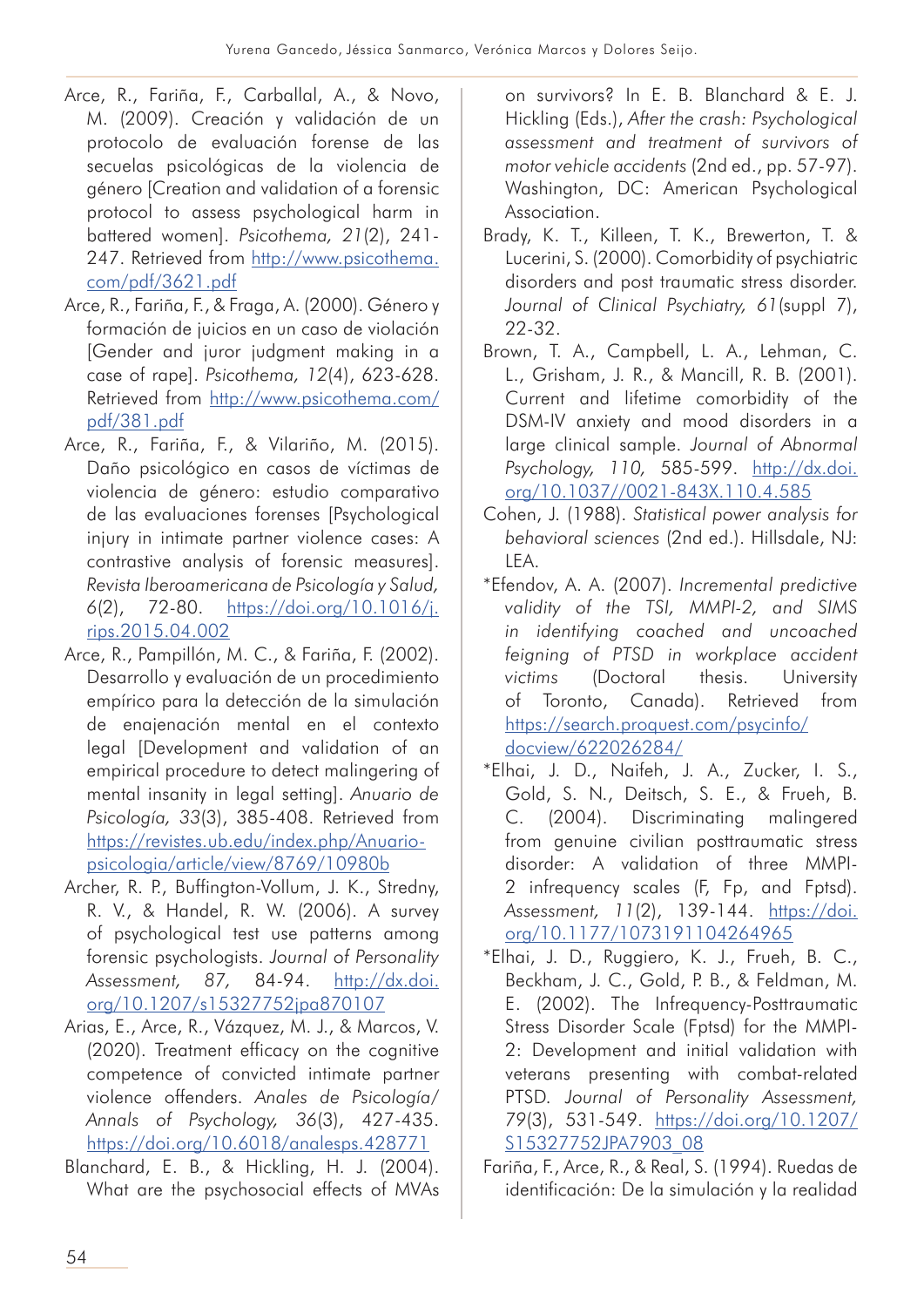- Arce, R., Fariña, F., Carballal, A., & Novo, M. (2009). Creación y validación de un protocolo de evaluación forense de las secuelas psicológicas de la violencia de género [Creation and validation of a forensic protocol to assess psychological harm in battered women]. *Psicothema, 21*(2), 241- 247. Retrieved from http://www.psicothema. com/pdf/3621.pdf
- Arce, R., Fariña, F., & Fraga, A. (2000). Género y formación de juicios en un caso de violación [Gender and juror judgment making in a case of rape]. *Psicothema, 12*(4), 623-628. Retrieved from http://www.psicothema.com/ pdf/381.pdf
- Arce, R., Fariña, F., & Vilariño, M. (2015). Daño psicológico en casos de víctimas de violencia de género: estudio comparativo de las evaluaciones forenses [Psychological injury in intimate partner violence cases: A contrastive analysis of forensic measures]. *Revista Iberoamericana de Psicología y Salud, 6*(2), 72-80. https://doi.org/10.1016/j. rips.2015.04.002
- Arce, R., Pampillón, M. C., & Fariña, F. (2002). Desarrollo y evaluación de un procedimiento empírico para la detección de la simulación de enajenación mental en el contexto legal [Development and validation of an empirical procedure to detect malingering of mental insanity in legal setting]. *Anuario de Psicología, 33*(3), 385-408. Retrieved from https://revistes.ub.edu/index.php/Anuariopsicologia/article/view/8769/10980b
- Archer, R. P., Buffington-Vollum, J. K., Stredny, R. V., & Handel, R. W. (2006). A survey of psychological test use patterns among forensic psychologists. *Journal of Personality Assessment, 87,* 84-94. http://dx.doi. org/10.1207/s15327752jpa870107
- Arias, E., Arce, R., Vázquez, M. J., & Marcos, V. (2020). Treatment efficacy on the cognitive competence of convicted intimate partner violence offenders. *Anales de Psicología/ Annals of Psychology, 36*(3), 427-435. https://doi.org/10.6018/analesps.428771
- Blanchard, E. B., & Hickling, H. J. (2004). What are the psychosocial effects of MVAs

on survivors? In E. B. Blanchard & E. J. Hickling (Eds.), *After the crash: Psychological assessment and treatment of survivors of motor vehicle accidents* (2nd ed., pp. 57-97). Washington, DC: American Psychological Association.

- Brady, K. T., Killeen, T. K., Brewerton, T. & Lucerini, S. (2000). Comorbidity of psychiatric disorders and post traumatic stress disorder. *Journal of Clinical Psychiatry, 61*(suppl 7), 22-32.
- Brown, T. A., Campbell, L. A., Lehman, C. L., Grisham, J. R., & Mancill, R. B. (2001). Current and lifetime comorbidity of the DSM-IV anxiety and mood disorders in a large clinical sample. *Journal of Abnormal Psychology, 110,* 585-599. http://dx.doi. org/10.1037//0021-843X.110.4.585
- Cohen, J. (1988). *Statistical power analysis for behavioral sciences* (2nd ed.). Hillsdale, NJ: LEA.
- \*Efendov, A. A. (2007). *Incremental predictive validity of the TSI, MMPI-2, and SIMS in identifying coached and uncoached feigning of PTSD in workplace accident victims* (Doctoral thesis. University of Toronto, Canada). Retrieved from https://search.proquest.com/psycinfo/ docview/622026284/
- \*Elhai, J. D., Naifeh, J. A., Zucker, I. S., Gold, S. N., Deitsch, S. E., & Frueh, B. C. (2004). Discriminating malingered from genuine civilian posttraumatic stress disorder: A validation of three MMPI-2 infrequency scales (F, Fp, and Fptsd). *Assessment, 11*(2), 139-144. https://doi. org/10.1177/1073191104264965
- \*Elhai, J. D., Ruggiero, K. J., Frueh, B. C., Beckham, J. C., Gold, P. B., & Feldman, M. E. (2002). The Infrequency-Posttraumatic Stress Disorder Scale (Fptsd) for the MMPI-2: Development and initial validation with veterans presenting with combat-related PTSD. *Journal of Personality Assessment, 79*(3), 531-549. https://doi.org/10.1207/ S15327752JPA7903\_08
- Fariña, F., Arce, R., & Real, S. (1994). Ruedas de identificación: De la simulación y la realidad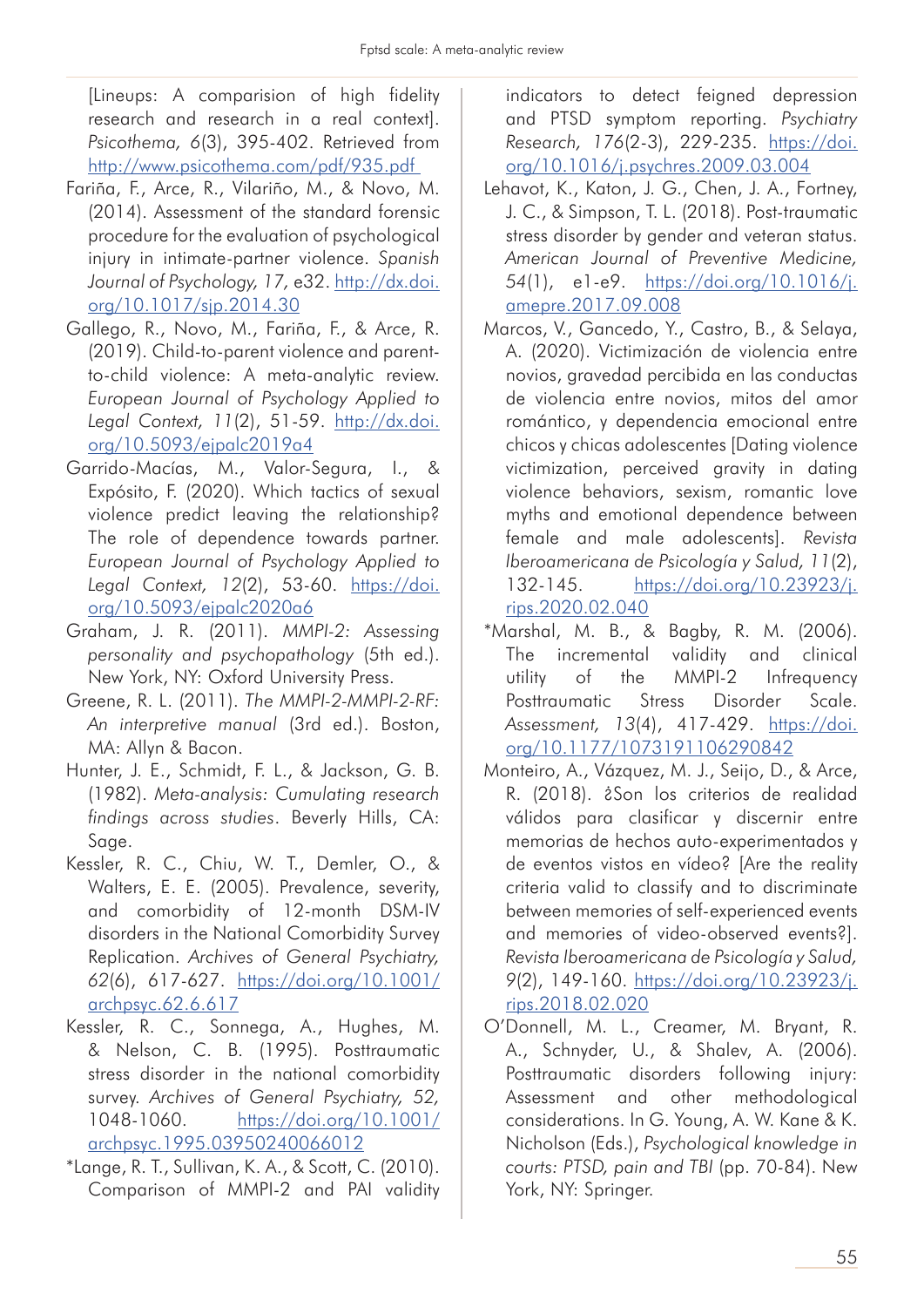[Lineups: A comparision of high fidelity research and research in a real context]. *Psicothema, 6*(3), 395-402. Retrieved from http://www.psicothema.com/pdf/935.pdf

- Fariña, F., Arce, R., Vilariño, M., & Novo, M. (2014). Assessment of the standard forensic procedure for the evaluation of psychological injury in intimate-partner violence. *Spanish Journal of Psychology, 17,* e32. http://dx.doi. org/10.1017/sjp.2014.30
- Gallego, R., Novo, M., Fariña, F., & Arce, R. (2019). Child-to-parent violence and parentto-child violence: A meta-analytic review. *European Journal of Psychology Applied to Legal Context, 11*(2), 51-59. http://dx.doi. org/10.5093/ejpalc2019a4
- Garrido-Macías, M., Valor-Segura, I., & Expósito, F. (2020). Which tactics of sexual violence predict leaving the relationship? The role of dependence towards partner. *European Journal of Psychology Applied to Legal Context, 12*(2), 53-60. https://doi. org/10.5093/ejpalc2020a6
- Graham, J. R. (2011). *MMPI-2: Assessing personality and psychopathology* (5th ed.). New York, NY: Oxford University Press.
- Greene, R. L. (2011). *The MMPI-2-MMPI-2-RF: An interpretive manual* (3rd ed.). Boston, MA: Allyn & Bacon.
- Hunter, J. E., Schmidt, F. L., & Jackson, G. B. (1982). *Meta-analysis: Cumulating research findings across studies*. Beverly Hills, CA: Sage.
- Kessler, R. C., Chiu, W. T., Demler, O., & Walters, E. E. (2005). Prevalence, severity, and comorbidity of 12-month DSM-IV disorders in the National Comorbidity Survey Replication. *Archives of General Psychiatry, 62*(6), 617-627. https://doi.org/10.1001/ archpsyc.62.6.617
- Kessler, R. C., Sonnega, A., Hughes, M. & Nelson, C. B. (1995). Posttraumatic stress disorder in the national comorbidity survey. *Archives of General Psychiatry, 52,* 1048-1060. https://doi.org/10.1001/ archpsyc.1995.03950240066012
- \*Lange, R. T., Sullivan, K. A., & Scott, C. (2010). Comparison of MMPI-2 and PAI validity

indicators to detect feigned depression and PTSD symptom reporting. *Psychiatry Research, 176*(2-3), 229-235. https://doi. org/10.1016/j.psychres.2009.03.004

- Lehavot, K., Katon, J. G., Chen, J. A., Fortney, J. C., & Simpson, T. L. (2018). Post-traumatic stress disorder by gender and veteran status. *American Journal of Preventive Medicine, 54*(1), e1-e9. https://doi.org/10.1016/j. amepre.2017.09.008
- Marcos, V., Gancedo, Y., Castro, B., & Selaya, A. (2020). Victimización de violencia entre novios, gravedad percibida en las conductas de violencia entre novios, mitos del amor romántico, y dependencia emocional entre chicos y chicas adolescentes [Dating violence victimization, perceived gravity in dating violence behaviors, sexism, romantic love myths and emotional dependence between female and male adolescents]. *Revista Iberoamericana de Psicología y Salud, 11*(2), 132-145. https://doi.org/10.23923/j. rips.2020.02.040
- \*Marshal, M. B., & Bagby, R. M. (2006). The incremental validity and clinical utility of the MMPI-2 Infrequency Posttraumatic Stress Disorder Scale. *Assessment, 13*(4), 417-429. https://doi. org/10.1177/1073191106290842
- Monteiro, A., Vázquez, M. J., Seijo, D., & Arce, R. (2018). ¿Son los criterios de realidad válidos para clasificar y discernir entre memorias de hechos auto-experimentados y de eventos vistos en vídeo? [Are the reality criteria valid to classify and to discriminate between memories of self-experienced events and memories of video-observed events?]. *Revista Iberoamericana de Psicología y Salud, 9*(2), 149-160. https://doi.org/10.23923/j. rips.2018.02.020
- O'Donnell, M. L., Creamer, M. Bryant, R. A., Schnyder, U., & Shalev, A. (2006). Posttraumatic disorders following injury: Assessment and other methodological considerations. In G. Young, A. W. Kane & K. Nicholson (Eds.), *Psychological knowledge in courts: PTSD, pain and TBI* (pp. 70-84). New York, NY: Springer.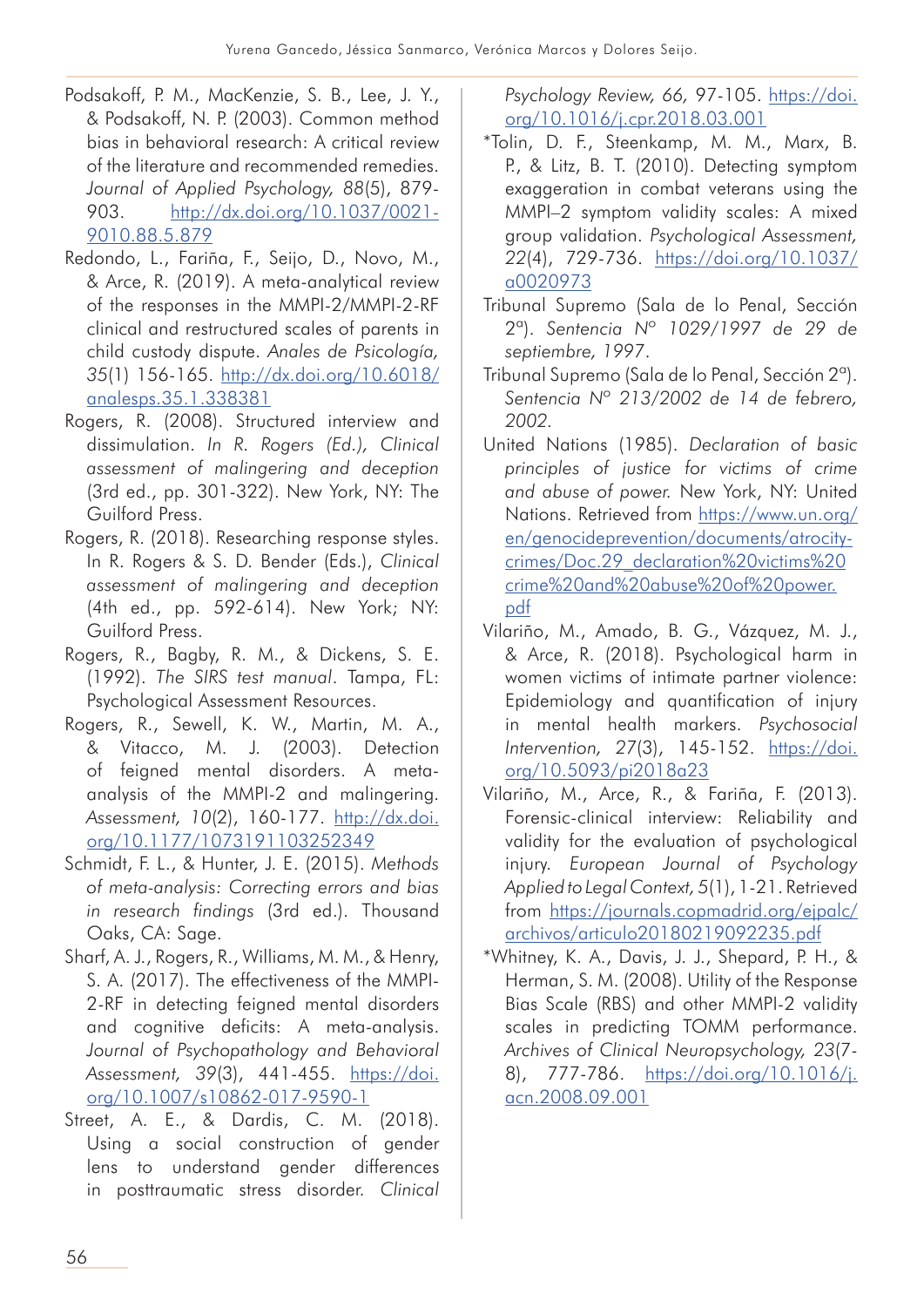- Podsakoff, P. M., MacKenzie, S. B., Lee, J. Y., & Podsakoff, N. P. (2003). Common method bias in behavioral research: A critical review of the literature and recommended remedies. *Journal of Applied Psychology, 88*(5), 879- 903. http://dx.doi.org/10.1037/0021- 9010.88.5.879
- Redondo, L., Fariña, F., Seijo, D., Novo, M., & Arce, R. (2019). A meta-analytical review of the responses in the MMPI-2/MMPI-2-RF clinical and restructured scales of parents in child custody dispute. *Anales de Psicología, 35*(1) 156-165. http://dx.doi.org/10.6018/ analesps.35.1.338381
- Rogers, R. (2008). Structured interview and dissimulation. *In R. Rogers (Ed.), Clinical assessment of malingering and deception*  (3rd ed., pp. 301-322). New York, NY: The Guilford Press.
- Rogers, R. (2018). Researching response styles. In R. Rogers & S. D. Bender (Eds.), *Clinical assessment of malingering and deception*  (4th ed., pp. 592-614). New York; NY: Guilford Press.
- Rogers, R., Bagby, R. M., & Dickens, S. E. (1992). *The SIRS test manual*. Tampa, FL: Psychological Assessment Resources.
- Rogers, R., Sewell, K. W., Martin, M. A., & Vitacco, M. J. (2003). Detection of feigned mental disorders. A metaanalysis of the MMPI-2 and malingering. *Assessment, 10*(2), 160-177. http://dx.doi. org/10.1177/1073191103252349
- Schmidt, F. L., & Hunter, J. E. (2015). *Methods of meta-analysis: Correcting errors and bias in research findings* (3rd ed.). Thousand Oaks, CA: Sage.
- Sharf, A. J., Rogers, R., Williams, M. M., & Henry, S. A. (2017). The effectiveness of the MMPI-2-RF in detecting feigned mental disorders and cognitive deficits: A meta-analysis. *Journal of Psychopathology and Behavioral Assessment, 39*(3), 441-455. https://doi. org/10.1007/s10862-017-9590-1
- Street, A. E., & Dardis, C. M. (2018). Using a social construction of gender lens to understand gender differences in posttraumatic stress disorder. *Clinical*

*Psychology Review, 66,* 97-105. https://doi. org/10.1016/j.cpr.2018.03.001

- \*Tolin, D. F., Steenkamp, M. M., Marx, B. P., & Litz, B. T. (2010). Detecting symptom exaggeration in combat veterans using the MMPI–2 symptom validity scales: A mixed group validation. *Psychological Assessment, 22*(4), 729-736. https://doi.org/10.1037/ a0020973
- Tribunal Supremo (Sala de lo Penal, Sección 2ª). *Sentencia Nº 1029/1997 de 29 de septiembre, 1997*.
- Tribunal Supremo (Sala de lo Penal, Sección 2ª). *Sentencia Nº 213/2002 de 14 de febrero, 2002.*
- United Nations (1985). *Declaration of basic principles of justice for victims of crime and abuse of power.* New York, NY: United Nations. Retrieved from https://www.un.org/ en/genocideprevention/documents/atrocitycrimes/Doc.29\_declaration%20victims%20 crime%20and%20abuse%20of%20power. pdf
- Vilariño, M., Amado, B. G., Vázquez, M. J., & Arce, R. (2018). Psychological harm in women victims of intimate partner violence: Epidemiology and quantification of injury in mental health markers. *Psychosocial Intervention, 27*(3), 145-152. https://doi. org/10.5093/pi2018a23
- Vilariño, M., Arce, R., & Fariña, F. (2013). Forensic-clinical interview: Reliability and validity for the evaluation of psychological injury. *European Journal of Psychology Applied to Legal Context, 5*(1), 1-21. Retrieved from https://journals.copmadrid.org/ejpalc/ archivos/articulo20180219092235.pdf
- \*Whitney, K. A., Davis, J. J., Shepard, P. H., & Herman, S. M. (2008). Utility of the Response Bias Scale (RBS) and other MMPI-2 validity scales in predicting TOMM performance. *Archives of Clinical Neuropsychology, 23*(7- 8), 777-786. https://doi.org/10.1016/j. acn.2008.09.001